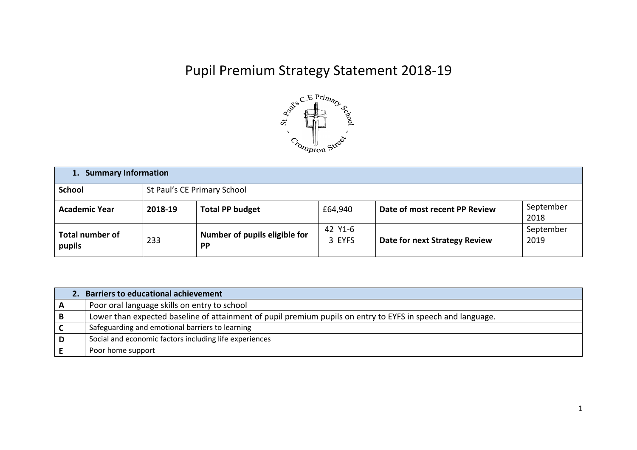## Pupil Premium Strategy Statement 2018-19



| <b>Summary Information</b><br>1. |                             |                                            |                   |                               |                   |  |
|----------------------------------|-----------------------------|--------------------------------------------|-------------------|-------------------------------|-------------------|--|
| <b>School</b>                    | St Paul's CE Primary School |                                            |                   |                               |                   |  |
| <b>Academic Year</b>             | 2018-19                     | <b>Total PP budget</b>                     | £64,940           | Date of most recent PP Review | September<br>2018 |  |
| <b>Total number of</b><br>pupils | 233                         | Number of pupils eligible for<br><b>PP</b> | 42 Y1-6<br>3 EYFS | Date for next Strategy Review | September<br>2019 |  |

|     | 2. Barriers to educational achievement                                                                      |
|-----|-------------------------------------------------------------------------------------------------------------|
| A   | Poor oral language skills on entry to school                                                                |
| B   | Lower than expected baseline of attainment of pupil premium pupils on entry to EYFS in speech and language. |
|     | Safeguarding and emotional barriers to learning                                                             |
| ⊩D. | Social and economic factors including life experiences                                                      |
|     | Poor home support                                                                                           |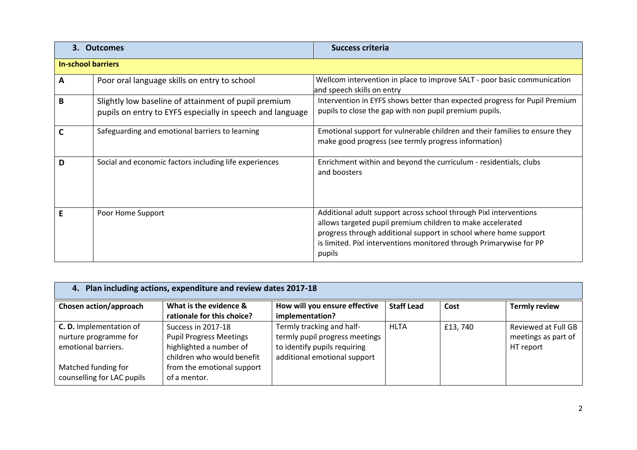| 3. Outcomes               |                                                                                                                   | <b>Success criteria</b>                                                                                                                                                                                                                                                              |  |  |  |
|---------------------------|-------------------------------------------------------------------------------------------------------------------|--------------------------------------------------------------------------------------------------------------------------------------------------------------------------------------------------------------------------------------------------------------------------------------|--|--|--|
| <b>In-school barriers</b> |                                                                                                                   |                                                                                                                                                                                                                                                                                      |  |  |  |
| A                         | Poor oral language skills on entry to school                                                                      | Wellcom intervention in place to improve SALT - poor basic communication<br>and speech skills on entry                                                                                                                                                                               |  |  |  |
| В                         | Slightly low baseline of attainment of pupil premium<br>pupils on entry to EYFS especially in speech and language | Intervention in EYFS shows better than expected progress for Pupil Premium<br>pupils to close the gap with non pupil premium pupils.                                                                                                                                                 |  |  |  |
|                           | Safeguarding and emotional barriers to learning                                                                   | Emotional support for vulnerable children and their families to ensure they<br>make good progress (see termly progress information)                                                                                                                                                  |  |  |  |
| D                         | Social and economic factors including life experiences                                                            | Enrichment within and beyond the curriculum - residentials, clubs<br>and boosters                                                                                                                                                                                                    |  |  |  |
|                           | Poor Home Support                                                                                                 | Additional adult support across school through Pixl interventions<br>allows targeted pupil premium children to make accelerated<br>progress through additional support in school where home support<br>is limited. Pixl interventions monitored through Primarywise for PP<br>pupils |  |  |  |

| 4. Plan including actions, expenditure and review dates 2017-18                                       |                                                                                                                                             |                                                                                                                             |                   |         |                                                         |  |
|-------------------------------------------------------------------------------------------------------|---------------------------------------------------------------------------------------------------------------------------------------------|-----------------------------------------------------------------------------------------------------------------------------|-------------------|---------|---------------------------------------------------------|--|
| Chosen action/approach                                                                                | What is the evidence &<br>rationale for this choice?                                                                                        | How will you ensure effective<br>implementation?                                                                            | <b>Staff Lead</b> | Cost    | <b>Termly review</b>                                    |  |
| <b>C. D.</b> Implementation of<br>nurture programme for<br>emotional barriers.<br>Matched funding for | Success in 2017-18<br><b>Pupil Progress Meetings</b><br>highlighted a number of<br>children who would benefit<br>from the emotional support | Termly tracking and half-<br>termly pupil progress meetings<br>to identify pupils requiring<br>additional emotional support | <b>HLTA</b>       | £13,740 | Reviewed at Full GB<br>meetings as part of<br>HT report |  |
| counselling for LAC pupils                                                                            | of a mentor.                                                                                                                                |                                                                                                                             |                   |         |                                                         |  |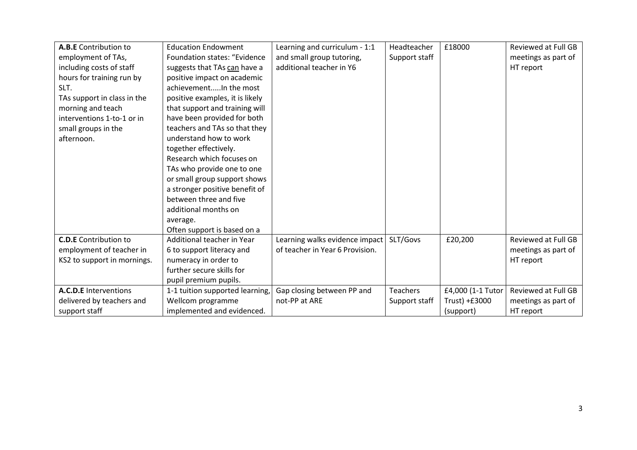| A.B.E Contribution to        | <b>Education Endowment</b>          | Learning and curriculum - 1:1   | Headteacher     | £18000            | <b>Reviewed at Full GB</b> |
|------------------------------|-------------------------------------|---------------------------------|-----------------|-------------------|----------------------------|
| employment of TAs,           | <b>Foundation states: "Evidence</b> | and small group tutoring,       | Support staff   |                   | meetings as part of        |
| including costs of staff     | suggests that TAs can have a        | additional teacher in Y6        |                 |                   | HT report                  |
| hours for training run by    | positive impact on academic         |                                 |                 |                   |                            |
| SLT.                         | achievementIn the most              |                                 |                 |                   |                            |
| TAs support in class in the  | positive examples, it is likely     |                                 |                 |                   |                            |
| morning and teach            | that support and training will      |                                 |                 |                   |                            |
| interventions 1-to-1 or in   | have been provided for both         |                                 |                 |                   |                            |
| small groups in the          | teachers and TAs so that they       |                                 |                 |                   |                            |
| afternoon.                   | understand how to work              |                                 |                 |                   |                            |
|                              | together effectively.               |                                 |                 |                   |                            |
|                              | Research which focuses on           |                                 |                 |                   |                            |
|                              | TAs who provide one to one          |                                 |                 |                   |                            |
|                              | or small group support shows        |                                 |                 |                   |                            |
|                              | a stronger positive benefit of      |                                 |                 |                   |                            |
|                              | between three and five              |                                 |                 |                   |                            |
|                              | additional months on                |                                 |                 |                   |                            |
|                              | average.                            |                                 |                 |                   |                            |
|                              | Often support is based on a         |                                 |                 |                   |                            |
| <b>C.D.E</b> Contribution to | Additional teacher in Year          | Learning walks evidence impact  | SLT/Govs        | £20,200           | <b>Reviewed at Full GB</b> |
| employment of teacher in     | 6 to support literacy and           | of teacher in Year 6 Provision. |                 |                   | meetings as part of        |
| KS2 to support in mornings.  | numeracy in order to                |                                 |                 |                   | HT report                  |
|                              | further secure skills for           |                                 |                 |                   |                            |
|                              | pupil premium pupils.               |                                 |                 |                   |                            |
| A.C.D.E Interventions        | 1-1 tuition supported learning,     | Gap closing between PP and      | <b>Teachers</b> | £4,000 (1-1 Tutor | <b>Reviewed at Full GB</b> |
| delivered by teachers and    | Wellcom programme                   | not-PP at ARE                   | Support staff   | Trust) +£3000     | meetings as part of        |
| support staff                | implemented and evidenced.          |                                 |                 | (support)         | HT report                  |